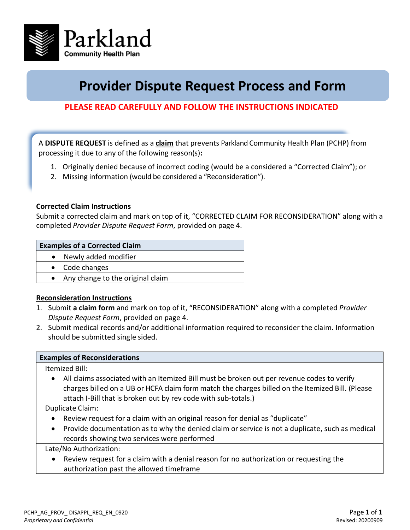

# **Provider Dispute Request Process and Form**

# **PLEASE READ CAREFULLY AND FOLLOW THE INSTRUCTIONS INDICATED**

A **DISPUTE REQUEST** is defined as a **claim** that prevents Parkland Community Health Plan (PCHP) from processing it due to any of the following reason(s)**:**

- 1. Originally denied because of incorrect coding (would be a considered a "Corrected Claim"); or
- 2. Missing information (would be considered a "Reconsideration").

#### **Corrected Claim Instructions**

Submit a corrected claim and mark on top of it, "CORRECTED CLAIM FOR RECONSIDERATION" along with a completed *Provider Dispute Request Form*, provided on page 4.

#### **Examples of a Corrected Claim**

- Newly added modifier
- Code changes
- Any change to the original claim

## **Reconsideration Instructions**

- 1. Submit **a claim form** and mark on top of it, "RECONSIDERATION" along with a completed *Provider Dispute Request Form*, provided on page 4.
- 2. Submit medical records and/or additional information required to reconsider the claim. Information should be submitted single sided.

## **Examples of Reconsiderations**

Itemized Bill:

• All claims associated with an Itemized Bill must be broken out per revenue codes to verify charges billed on a UB or HCFA claim form match the charges billed on the Itemized Bill. (Please attach I-Bill that is broken out by rev code with sub-totals.)

Duplicate Claim:

- Review request for a claim with an original reason for denial as "duplicate"
- Provide documentation as to why the denied claim or service is not a duplicate, such as medical records showing two services were performed

Late/No Authorization:

• Review request for a claim with a denial reason for no authorization or requesting the authorization past the allowed timeframe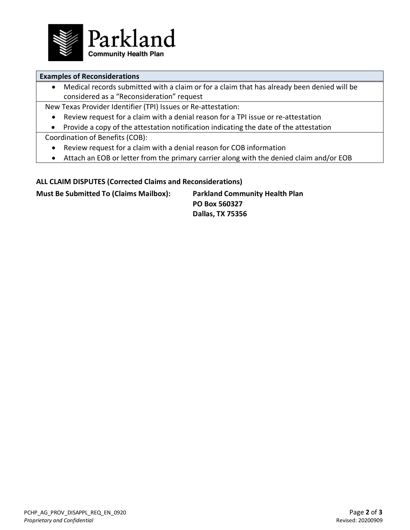

## **Examples of Reconsiderations**

• Medical records submitted with a claim or for a claim that has already been denied will be considered as a "Reconsideration" request

New Texas Provider Identifier (TPI) Issues or Re-attestation:

- Review request for a claim with a denial reason for a TPI issue or re-attestation
- Provide a copy of the attestation notification indicating the date of the attestation

Coordination of Benefits (COB):

- Review request for a claim with a denial reason for COB information
- Attach an EOB or letter from the primary carrier along with the denied claim and/or EOB

## **ALL CLAIM DISPUTES (Corrected Claims and Reconsiderations)**

**Must Be Submitted To (Claims Mailbox): Parkland Community Health Plan**

**PO Box 560327 Dallas, TX 75356**